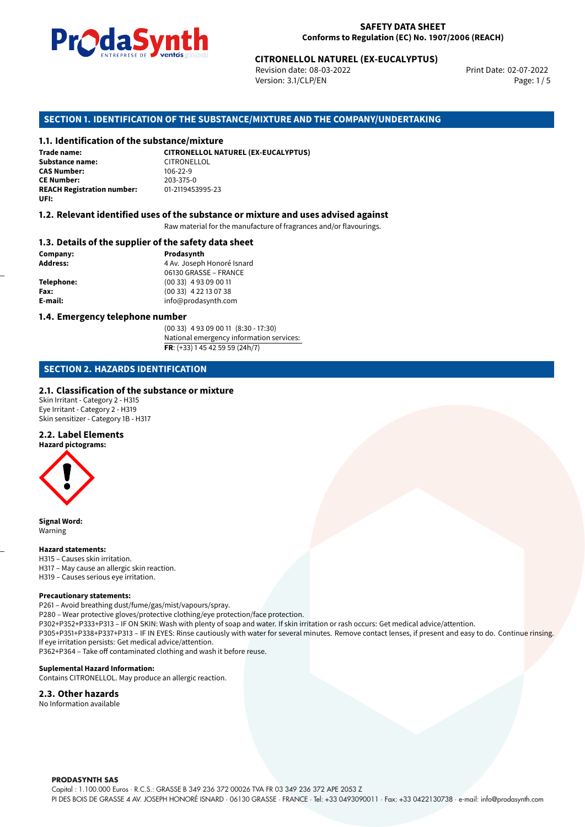

Revision date: 08-03-2022 Version: 3.1/CLP/EN Page: 1 / 5

Print Date: 02-07-2022

# **CITRONELLOL NATUREL (EX-EUCALYPTUS)**<br>
Revision date: 08-03-2022<br>
Version: 3.1/CLP/EN<br> **OF THE SUBSTANCE/MIXTURE AND THE COMPANY/UNDERTAKING<br>
tance/mixture<br>
CITRONELLOL NATUREL (EX-EUCALYPTUS) SECTION 1. IDENTIFICATION OF THE SUBSTANCE/MIXTURE AND THE COMPANY/UNDERTAKING**

**1.1. Identification of the substance/mixture Trade name: Substance name:** CITRONELLOL<br> **CAS Number:** 106-22-9 **CAS Number: CE Number:** 203-375-0 **REACH Registration number: UFI:**

#### **1.2. Relevant identified uses of the substance or mixture and uses advised against**

Raw material for the manufacture of fragrances and/or flavourings.

#### **1.3. Details of the supplier of the safety data sheet**

**Company: Prodasynth Prodasynth Address:** 4 Av. Joseph **Address:** 4 Av. Joseph Honoré Isnard 06130 GRASSE – FRANCE **Telephone:** (00 33) 4 93 09 00 11 **Fax:** (00 33) 4 22 13 07 38 **E-mail:** info@prodasynth.com

#### **1.4. Emergency telephone number**

(00 33) 4 93 09 00 11 (8:30 - 17:30) National emergency information services: **FR**: (+33) 1 45 42 59 59 (24h/7)

#### **SECTION 2. HAZARDS IDENTIFICATION**

#### **2.1. Classification of the substance or mixture**

Skin Irritant - Category 2 - H315 Eye Irritant - Category 2 - H319 Skin sensitizer - Category 1B - H317

#### **2.2. Label Elements**



**Signal Word:** Warning

#### **Hazard statements:**

H315 – Causes skin irritation. H317 – May cause an allergic skin reaction. H319 – Causes serious eye irritation.

#### **Precautionary statements:**

P261 – Avoid breathing dust/fume/gas/mist/vapours/spray.

P280 – Wear protective gloves/protective clothing/eye protection/face protection.

P302+P352+P333+P313 – IF ON SKIN: Wash with plenty of soap and water. If skin irritation or rash occurs: Get medical advice/attention.

P305+P351+P338+P337+P313 – IF IN EYES: Rinse cautiously with water for several minutes. Remove contact lenses, if present and easy to do. Continue rinsing. If eye irritation persists: Get medical advice/attention.

P362+P364 – Take off contaminated clothing and wash it before reuse.

#### **Suplemental Hazard Information:**

Contains CITRONELLOL. May produce an allergic reaction.

#### **2.3. Other hazards**

No Information available

#### **PRODASYNTH SAS**

Capital : 1.100.000 Euros · R.C.S.: GRASSE B 349 236 372 00026 TVA FR 03 349 236 372 APE 2053 Z PI DES BOIS DE GRASSE 4 AV. JOSEPH HONORÉ ISNARD · 06130 GRASSE · FRANCE · Tel: +33 0493090011 · Fax: +33 0422130738 · e-mail: info@prodasynth.com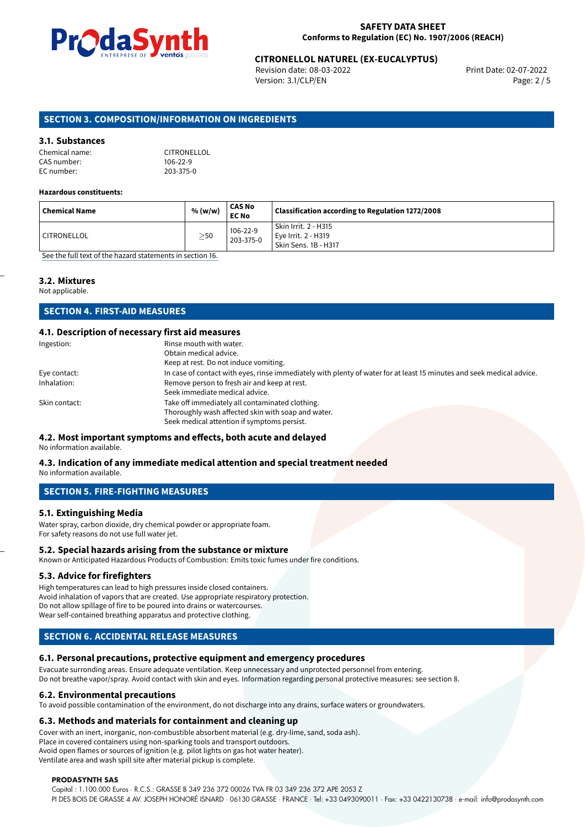

# **CITRONELLOL NATUREL (EX-EUCALYPTUS)**<br>Revision date: 08-03-2022<br>Print Date: 02-07-2022

Revision date: 08-03-2022 Version: 3.1/CLP/EN Page: 2 / 5

#### **SECTION 3. COMPOSITION/INFORMATION ON INGREDIENTS**

#### **3.1. Substances**

| Chemical name: | <b>CITRONEL</b> |
|----------------|-----------------|
| CAS number:    | $106 - 22 - 9$  |
| EC number:     | 203-375-0       |

Chemical name: CITRONELLOL

#### **Hazardous constituents:**

| Chemical Name      | % (w/w)   | <b>CAS No</b><br><b>EC No</b> | $^\mathrm{!}$ Classification according to Regulation 1272/2008        |
|--------------------|-----------|-------------------------------|-----------------------------------------------------------------------|
| <b>CITRONELLOL</b> | $\geq$ 50 | 106-22-9<br>203-375-0         | l Skin Irrit. 2 - H315<br>Eye Irrit. 2 - H319<br>Skin Sens. 1B - H317 |

[See the full text of the hazard statements in section 16.](#page-4-0)

#### **3.2. Mixtures**

Not applicable.

#### **SECTION 4. FIRST-AID MEASURES**

#### **4.1. Description of necessary first aid measures**

| Ingestion:    | Rinse mouth with water.                                                                                               |
|---------------|-----------------------------------------------------------------------------------------------------------------------|
|               | Obtain medical advice.                                                                                                |
|               | Keep at rest. Do not induce vomiting.                                                                                 |
| Eye contact:  | In case of contact with eyes, rinse immediately with plenty of water for at least 15 minutes and seek medical advice. |
| Inhalation:   | Remove person to fresh air and keep at rest.                                                                          |
|               | Seek immediate medical advice.                                                                                        |
| Skin contact: | Take off immediately all contaminated clothing.                                                                       |
|               | Thoroughly wash affected skin with soap and water.                                                                    |
|               | Seek medical attention if symptoms persist.                                                                           |

#### **4.2. Most important symptoms and effects, both acute and delayed**

No information available.

#### **4.3. Indication of any immediate medical attention and special treatment needed**

No information available.

#### **SECTION 5. FIRE-FIGHTING MEASURES**

#### **5.1. Extinguishing Media**

Water spray, carbon dioxide, dry chemical powder or appropriate foam. For safety reasons do not use full water jet.

#### **5.2. Special hazards arising from the substance or mixture**

Known or Anticipated Hazardous Products of Combustion: Emits toxic fumes under fire conditions.

#### **5.3. Advice for firefighters**

High temperatures can lead to high pressures inside closed containers. Avoid inhalation of vapors that are created. Use appropriate respiratory protection. Do not allow spillage of fire to be poured into drains or watercourses. Wear self-contained breathing apparatus and protective clothing.

#### **SECTION 6. ACCIDENTAL RELEASE MEASURES**

#### **6.1. Personal precautions, protective equipment and emergency procedures**

Evacuate surronding areas. Ensure adequate ventilation. Keep unnecessary and unprotected personnel from entering. Do not breathe vapor/spray. Avoid contact with skin and eyes. Information regarding personal protective measures: see section 8.

#### **6.2. Environmental precautions**

To avoid possible contamination of the environment, do not discharge into any drains, surface waters or groundwaters.

#### **6.3. Methods and materials for containment and cleaning up**

Cover with an inert, inorganic, non-combustible absorbent material (e.g. dry-lime, sand, soda ash). Place in covered containers using non-sparking tools and transport outdoors. Avoid open flames or sources of ignition (e.g. pilot lights on gas hot water heater).

Ventilate area and wash spill site after material pickup is complete.

#### **PRODASYNTH SAS**

Capital : 1.100.000 Euros · R.C.S.: GRASSE B 349 236 372 00026 TVA FR 03 349 236 372 APE 2053 Z PI DES BOIS DE GRASSE 4 AV. JOSEPH HONORÉ ISNARD · 06130 GRASSE · FRANCE · Tel: +33 0493090011 · Fax: +33 0422130738 · e-mail: info@prodasynth.com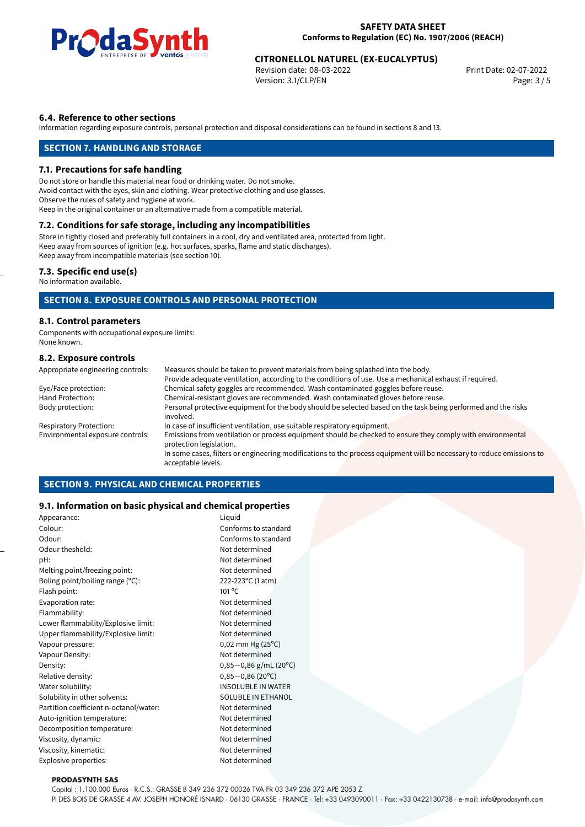

# **CITRONELLOL NATUREL (EX-EUCALYPTUS)**<br>Revision date: 08-03-2022<br>Print Date: 02-07-2022

Revision date: 08-03-2022 Version: 3.1/CLP/EN Page: 3 / 5

#### **6.4. Reference to other sections**

Information regarding exposure controls, personal protection and disposal considerations can be found in sections 8 and 13.

#### **SECTION 7. HANDLING AND STORAGE**

#### **7.1. Precautions for safe handling**

Do not store or handle this material near food or drinking water. Do not smoke. Avoid contact with the eyes, skin and clothing. Wear protective clothing and use glasses. Observe the rules of safety and hygiene at work. Keep in the original container or an alternative made from a compatible material.

#### **7.2. Conditions for safe storage, including any incompatibilities**

Store in tightly closed and preferably full containers in a cool, dry and ventilated area, protected from light. Keep away from sources of ignition (e.g. hot surfaces, sparks, flame and static discharges). Keep away from incompatible materials (see section 10).

#### **7.3. Specific end use(s)**

No information available.

#### **SECTION 8. EXPOSURE CONTROLS AND PERSONAL PROTECTION**

#### **8.1. Control parameters**

Components with occupational exposure limits: None known.

#### **8.2. Exposure controls**

| Appropriate engineering controls: | Measures should be taken to prevent materials from being splashed into the body.                                                            |
|-----------------------------------|---------------------------------------------------------------------------------------------------------------------------------------------|
|                                   | Provide adequate ventilation, according to the conditions of use. Use a mechanical exhaust if required.                                     |
| Eye/Face protection:              | Chemical safety goggles are recommended. Wash contaminated goggles before reuse.                                                            |
| Hand Protection:                  | Chemical-resistant gloves are recommended. Wash contaminated gloves before reuse.                                                           |
| Body protection:                  | Personal protective equipment for the body should be selected based on the task being performed and the risks<br>involved.                  |
| <b>Respiratory Protection:</b>    | In case of insufficient ventilation, use suitable respiratory equipment.                                                                    |
| Environmental exposure controls:  | Emissions from ventilation or process equipment should be checked to ensure they comply with environmental<br>protection legislation.       |
|                                   | In some cases, filters or engineering modifications to the process equipment will be necessary to reduce emissions to<br>acceptable levels. |

#### **SECTION 9. PHYSICAL AND CHEMICAL PROPERTIES**

#### **9.1. Information on basic physical and chemical properties**

| Appearance:                            | Liquid                         |
|----------------------------------------|--------------------------------|
| Colour:                                | Conforms to standard           |
| Odour:                                 | Conforms to standard           |
| Odour theshold:                        | Not determined                 |
| pH:                                    | Not determined                 |
| Melting point/freezing point:          | Not determined                 |
| Boling point/boiling range (°C):       | 222-223°C (1 atm)              |
| Flash point:                           | $101^{\circ}$ C                |
| Evaporation rate:                      | Not determined                 |
| Flammability:                          | Not determined                 |
| Lower flammability/Explosive limit:    | Not determined                 |
| Upper flammability/Explosive limit:    | Not determined                 |
| Vapour pressure:                       | $0,02$ mm Hg (25 $^{\circ}$ C) |
| Vapour Density:                        | Not determined                 |
| Density:                               | $0,85-0,86$ g/mL (20°C)        |
| Relative density:                      | $0,85-0,86(20^{\circ}C)$       |
| Water solubility:                      | <b>INSOLUBLE IN WATER</b>      |
| Solubility in other solvents:          | <b>SOLUBLE IN ETHANOL</b>      |
| Partition coefficient n-octanol/water: | Not determined                 |
| Auto-ignition temperature:             | Not determined                 |
| Decomposition temperature:             | Not determined                 |
| Viscosity, dynamic:                    | Not determined                 |
| Viscosity, kinematic:                  | Not determined                 |
| Explosive properties:                  | Not determined                 |
|                                        |                                |

#### **PRODASYNTH SAS**

Capital : 1.100.000 Euros · R.C.S.: GRASSE B 349 236 372 00026 TVA FR 03 349 236 372 APE 2053 Z

PI DES BOIS DE GRASSE 4 AV. JOSEPH HONORÉ ISNARD · 06130 GRASSE · FRANCE · Tel: +33 0493090011 · Fax: +33 0422130738 · e-mail: info@prodasynth.com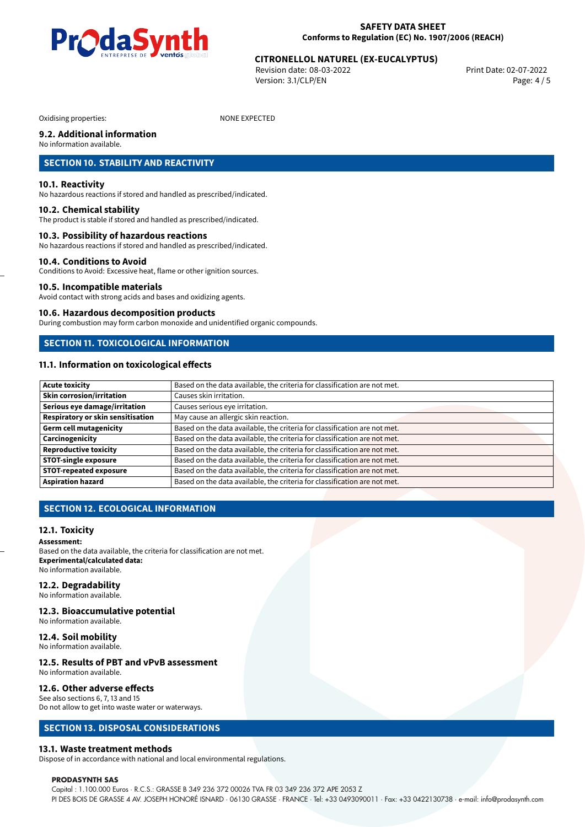

# **CITRONELLOL NATUREL (EX-EUCALYPTUS)**<br>Revision date: 08-03-2022<br>Print Date: 02-07-2022

Revision date: 08-03-2022 Version: 3.1/CLP/EN Page: 4 / 5

Oxidising properties: NONE EXPECTED

#### **9.2. Additional information**

No information available.

#### **SECTION 10. STABILITY AND REACTIVITY**

#### **10.1. Reactivity**

No hazardous reactions if stored and handled as prescribed/indicated.

#### **10.2. Chemical stability**

The product is stable if stored and handled as prescribed/indicated.

#### **10.3. Possibility of hazardous reactions**

No hazardous reactions if stored and handled as prescribed/indicated.

#### **10.4. Conditions to Avoid**

Conditions to Avoid: Excessive heat, flame or other ignition sources.

#### **10.5. Incompatible materials**

Avoid contact with strong acids and bases and oxidizing agents.

#### **10.6. Hazardous decomposition products**

During combustion may form carbon monoxide and unidentified organic compounds.

#### **SECTION 11. TOXICOLOGICAL INFORMATION**

#### **11.1. Information on toxicological effects**

| <b>Acute toxicity</b>             | Based on the data available, the criteria for classification are not met. |
|-----------------------------------|---------------------------------------------------------------------------|
| <b>Skin corrosion/irritation</b>  | Causes skin irritation.                                                   |
| Serious eye damage/irritation     | Causes serious eye irritation.                                            |
| Respiratory or skin sensitisation | May cause an allergic skin reaction.                                      |
| <b>Germ cell mutagenicity</b>     | Based on the data available, the criteria for classification are not met. |
| Carcinogenicity                   | Based on the data available, the criteria for classification are not met. |
| <b>Reproductive toxicity</b>      | Based on the data available, the criteria for classification are not met. |
| <b>STOT-single exposure</b>       | Based on the data available, the criteria for classification are not met. |
| <b>STOT-repeated exposure</b>     | Based on the data available, the criteria for classification are not met. |
| <b>Aspiration hazard</b>          | Based on the data available, the criteria for classification are not met. |

#### **SECTION 12. ECOLOGICAL INFORMATION**

#### **12.1. Toxicity**

**Assessment:** Based on the data available, the criteria for classification are not met. **Experimental/calculated data:** No information available.

#### **12.2. Degradability**

No information available.

#### **12.3. Bioaccumulative potential** No information available.

**12.4. Soil mobility**

### No information available.

## **12.5. Results of PBT and vPvB assessment**

No information available.

#### **12.6. Other adverse effects**

See also sections 6, 7, 13 and 15 Do not allow to get into waste water or waterways.

#### **SECTION 13. DISPOSAL CONSIDERATIONS**

#### **13.1. Waste treatment methods**

Dispose of in accordance with national and local environmental regulations.

#### **PRODASYNTH SAS**

Capital : 1.100.000 Euros · R.C.S.: GRASSE B 349 236 372 00026 TVA FR 03 349 236 372 APE 2053 Z PI DES BOIS DE GRASSE 4 AV. JOSEPH HONORÉ ISNARD · 06130 GRASSE · FRANCE · Tel: +33 0493090011 · Fax: +33 0422130738 · e-mail: info@prodasynth.com